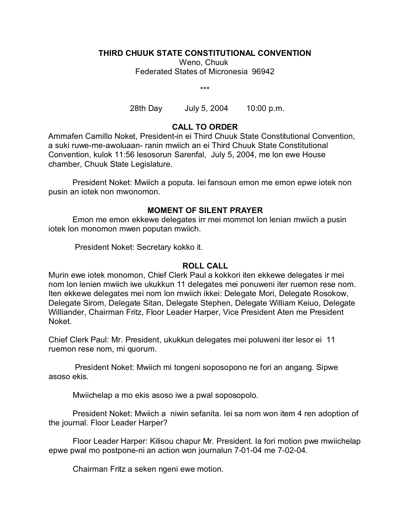#### **THIRD CHUUK STATE CONSTITUTIONAL CONVENTION**

Weno, Chuuk Federated States of Micronesia 96942

\*\*\*

28th Day July 5, 2004 10:00 p.m.

### **CALL TO ORDER**

Ammafen Camillo Noket, President-in ei Third Chuuk State Constitutional Convention, a suki ruwe-me-awoluaan- ranin mwiich an ei Third Chuuk State Constitutional Convention, kulok 11:56 lesosorun Sarenfal, July 5, 2004, me lon ewe House chamber, Chuuk State Legislature.

President Noket: Mwiich a poputa. Iei fansoun emon me emon epwe iotek non pusin an iotek non mwonomon.

# **MOMENT OF SILENT PRAYER**

Emon me emon ekkewe delegates irr mei mommot lon lenian mwiich a pusin iotek lon monomon mwen poputan mwiich.

President Noket: Secretary kokko it.

### **ROLL CALL**

Murin ewe iotek monomon, Chief Clerk Paul a kokkori iten ekkewe delegates ir mei nom lon lenien mwiich iwe ukukkun 11 delegates mei ponuweni iter ruemon rese nom. Iten ekkewe delegates mei nom lon mwiich ikkei: Delegate Mori, Delegate Rosokow, Delegate Sirom, Delegate Sitan, Delegate Stephen, Delegate William Keiuo, Delegate Williander, Chairman Fritz, Floor Leader Harper, Vice President Aten me President Noket.

Chief Clerk Paul: Mr. President, ukukkun delegates mei poluweni iter lesor ei 11 ruemon rese nom, mi quorum.

 President Noket: Mwiich mi tongeni soposopono ne fori an angang. Sipwe asoso ekis.

Mwiichelap a mo ekis asoso iwe a pwal soposopolo.

President Noket: Mwiich a niwin sefanita. Iei sa nom won item 4 ren adoption of the journal. Floor Leader Harper?

Floor Leader Harper: Kilisou chapur Mr. President. Ia fori motion pwe mwiichelap epwe pwal mo postpone-ni an action won journalun 7-01-04 me 7-02-04.

Chairman Fritz a seken ngeni ewe motion.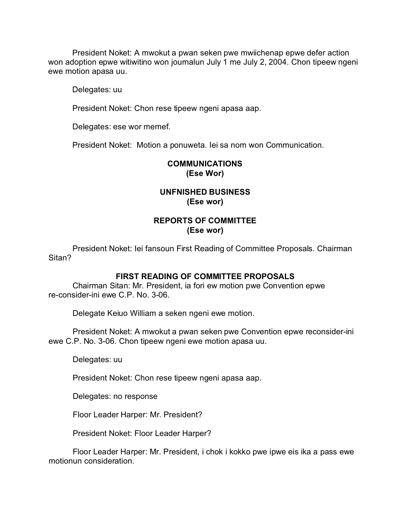President Noket: A mwokut a pwan seken pwe mwiichenap epwe defer action won adoption epwe witiwitino won journalun July 1 me July 2, 2004. Chon tipeew ngeni ewe motion apasa uu.

Delegates: uu

President Noket: Chon rese tipeew ngeni apasa aap.

Delegates: ese wor memef.

President Noket: Motion a ponuweta. Iei sa nom won Communication.

## **COMMUNICATIONS (Ese Wor)**

# **UNFNISHED BUSINESS (Ese wor)**

# **REPORTS OF COMMITTEE (Ese wor)**

President Noket: Iei fansoun First Reading of Committee Proposals. Chairman Sitan?

### **FIRST READING OF COMMITTEE PROPOSALS**

Chairman Sitan: Mr. President, ia fori ew motion pwe Convention epwe re-consider-ini ewe C.P. No. 3-06.

Delegate Keiuo William a seken ngeni ewe motion.

President Noket: A mwokut a pwan seken pwe Convention epwe reconsider-ini ewe C.P. No. 3-06. Chon tipeew ngeni ewe motion apasa uu.

Delegates: uu

President Noket: Chon rese tipeew ngeni apasa aap.

Delegates: no response

Floor Leader Harper: Mr. President?

President Noket: Floor Leader Harper?

Floor Leader Harper: Mr. President, i chok i kokko pwe ipwe eis ika a pass ewe motionun consideration.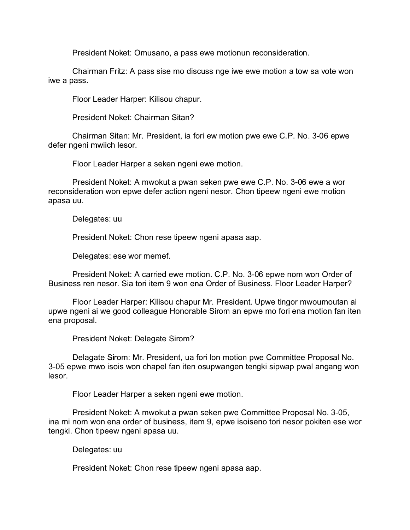President Noket: Omusano, a pass ewe motionun reconsideration.

Chairman Fritz: A pass sise mo discuss nge iwe ewe motion a tow sa vote won iwe a pass.

Floor Leader Harper: Kilisou chapur.

President Noket: Chairman Sitan?

Chairman Sitan: Mr. President, ia fori ew motion pwe ewe C.P. No. 3-06 epwe defer ngeni mwiich lesor.

Floor Leader Harper a seken ngeni ewe motion.

President Noket: A mwokut a pwan seken pwe ewe C.P. No. 3-06 ewe a wor reconsideration won epwe defer action ngeni nesor. Chon tipeew ngeni ewe motion apasa uu.

Delegates: uu

President Noket: Chon rese tipeew ngeni apasa aap.

Delegates: ese wor memef.

President Noket: A carried ewe motion. C.P. No. 3-06 epwe nom won Order of Business ren nesor. Sia tori item 9 won ena Order of Business. Floor Leader Harper?

Floor Leader Harper: Kilisou chapur Mr. President. Upwe tingor mwoumoutan ai upwe ngeni ai we good colleague Honorable Sirom an epwe mo fori ena motion fan iten ena proposal.

President Noket: Delegate Sirom?

Delagate Sirom: Mr. President, ua fori lon motion pwe Committee Proposal No. 3-05 epwe mwo isois won chapel fan iten osupwangen tengki sipwap pwal angang won lesor.

Floor Leader Harper a seken ngeni ewe motion.

President Noket: A mwokut a pwan seken pwe Committee Proposal No. 3-05, ina mi nom won ena order of business, item 9, epwe isoiseno tori nesor pokiten ese wor tengki. Chon tipeew ngeni apasa uu.

Delegates: uu

President Noket: Chon rese tipeew ngeni apasa aap.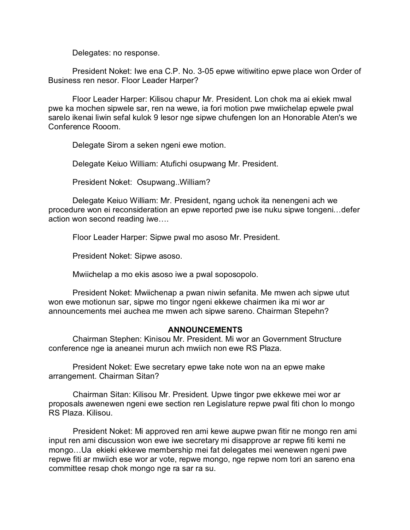Delegates: no response.

President Noket: Iwe ena C.P. No. 3-05 epwe witiwitino epwe place won Order of Business ren nesor. Floor Leader Harper?

Floor Leader Harper: Kilisou chapur Mr. President. Lon chok ma ai ekiek mwal pwe ka mochen sipwele sar, ren na wewe, ia fori motion pwe mwiichelap epwele pwal sarelo ikenai liwin sefal kulok 9 lesor nge sipwe chufengen lon an Honorable Aten's we Conference Rooom.

Delegate Sirom a seken ngeni ewe motion.

Delegate Keiuo William: Atufichi osupwang Mr. President.

President Noket: Osupwang..William?

Delegate Keiuo William: Mr. President, ngang uchok ita nenengeni ach we procedure won ei reconsideration an epwe reported pwe ise nuku sipwe tongeni…defer action won second reading iwe….

Floor Leader Harper: Sipwe pwal mo asoso Mr. President.

President Noket: Sipwe asoso.

Mwiichelap a mo ekis asoso iwe a pwal soposopolo.

President Noket: Mwiichenap a pwan niwin sefanita. Me mwen ach sipwe utut won ewe motionun sar, sipwe mo tingor ngeni ekkewe chairmen ika mi wor ar announcements mei auchea me mwen ach sipwe sareno. Chairman Stepehn?

### **ANNOUNCEMENTS**

Chairman Stephen: Kinisou Mr. President. Mi wor an Government Structure conference nge ia aneanei murun ach mwiich non ewe RS Plaza.

President Noket: Ewe secretary epwe take note won na an epwe make arrangement. Chairman Sitan?

Chairman Sitan: Kilisou Mr. President. Upwe tingor pwe ekkewe mei wor ar proposals awenewen ngeni ewe section ren Legislature repwe pwal fiti chon lo mongo RS Plaza. Kilisou.

President Noket: Mi approved ren ami kewe aupwe pwan fitir ne mongo ren ami input ren ami discussion won ewe iwe secretary mi disapprove ar repwe fiti kemi ne mongo…Ua ekieki ekkewe membership mei fat delegates mei wenewen ngeni pwe repwe fiti ar mwiich ese wor ar vote, repwe mongo, nge repwe nom tori an sareno ena committee resap chok mongo nge ra sar ra su.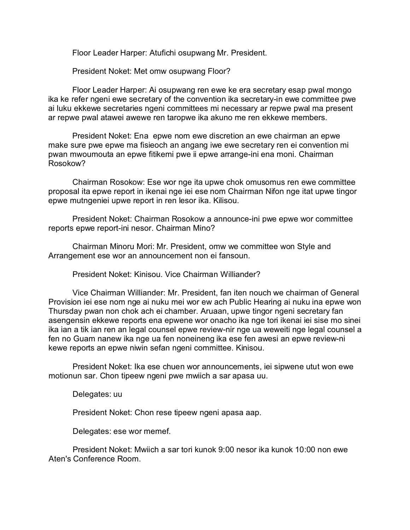Floor Leader Harper: Atufichi osupwang Mr. President.

President Noket: Met omw osupwang Floor?

Floor Leader Harper: Ai osupwang ren ewe ke era secretary esap pwal mongo ika ke refer ngeni ewe secretary of the convention ika secretary-in ewe committee pwe ai luku ekkewe secretaries ngeni committees mi necessary ar repwe pwal ma present ar repwe pwal atawei awewe ren taropwe ika akuno me ren ekkewe members.

President Noket: Ena epwe nom ewe discretion an ewe chairman an epwe make sure pwe epwe ma fisieoch an angang iwe ewe secretary ren ei convention mi pwan mwoumouta an epwe fitikemi pwe ii epwe arrange-ini ena moni. Chairman Rosokow?

Chairman Rosokow: Ese wor nge ita upwe chok omusomus ren ewe committee proposal ita epwe report in ikenai nge iei ese nom Chairman Nifon nge itat upwe tingor epwe mutngeniei upwe report in ren lesor ika. Kilisou.

President Noket: Chairman Rosokow a announce-ini pwe epwe wor committee reports epwe report-ini nesor. Chairman Mino?

Chairman Minoru Mori: Mr. President, omw we committee won Style and Arrangement ese wor an announcement non ei fansoun.

President Noket: Kinisou. Vice Chairman Williander?

Vice Chairman Williander: Mr. President, fan iten nouch we chairman of General Provision iei ese nom nge ai nuku mei wor ew ach Public Hearing ai nuku ina epwe won Thursday pwan non chok ach ei chamber. Aruaan, upwe tingor ngeni secretary fan asengensin ekkewe reports ena epwene wor onacho ika nge tori ikenai iei sise mo sinei ika ian a tik ian ren an legal counsel epwe review-nir nge ua weweiti nge legal counsel a fen no Guam nanew ika nge ua fen noneineng ika ese fen awesi an epwe review-ni kewe reports an epwe niwin sefan ngeni committee. Kinisou.

President Noket: Ika ese chuen wor announcements, iei sipwene utut won ewe motionun sar. Chon tipeew ngeni pwe mwiich a sar apasa uu.

Delegates: uu

President Noket: Chon rese tipeew ngeni apasa aap.

Delegates: ese wor memef.

President Noket: Mwiich a sar tori kunok 9:00 nesor ika kunok 10:00 non ewe Aten's Conference Room.